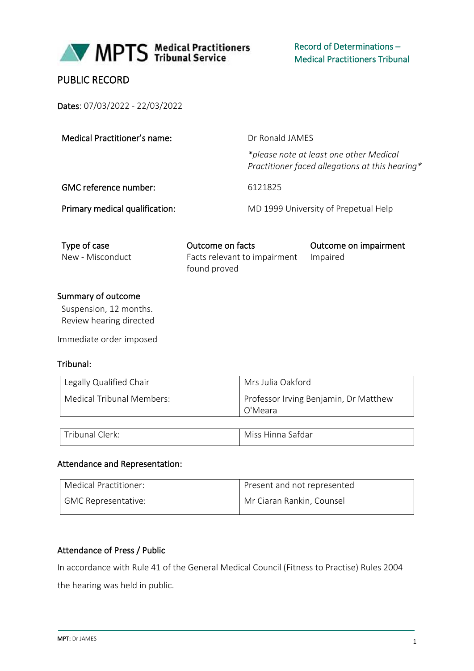

## PUBLIC RECORD

Dates: 07/03/2022 - 22/03/2022

| Medical Practitioner's name:   | Dr Ronald JAMES                                                                            |  |
|--------------------------------|--------------------------------------------------------------------------------------------|--|
|                                | *please note at least one other Medical<br>Practitioner faced allegations at this hearing* |  |
| GMC reference number:          | 6121825                                                                                    |  |
| Primary medical qualification: | MD 1999 University of Prepetual Help                                                       |  |
|                                |                                                                                            |  |

| Type of case     | Outcome on facts                      | Outcome on impairment |
|------------------|---------------------------------------|-----------------------|
| New - Misconduct | Facts relevant to impairment Impaired |                       |
|                  | found proved                          |                       |

#### Summary of outcome

Suspension, 12 months. Review hearing directed

Immediate order imposed

## Tribunal:

| Legally Qualified Chair   | Mrs Julia Oakford                                |
|---------------------------|--------------------------------------------------|
| Medical Tribunal Members: | Professor Irving Benjamin, Dr Matthew<br>O'Meara |
|                           |                                                  |

| $\tau$ ribunal<br>Clerk: | Safdar<br>.<br><b>Miss</b><br>linna |
|--------------------------|-------------------------------------|
|                          |                                     |

#### Attendance and Representation:

| Medical Practitioner:      | Present and not represented |
|----------------------------|-----------------------------|
| <b>GMC Representative:</b> | Mr Ciaran Rankin, Counsel   |

## Attendance of Press / Public

In accordance with Rule 41 of the General Medical Council (Fitness to Practise) Rules 2004

the hearing was held in public.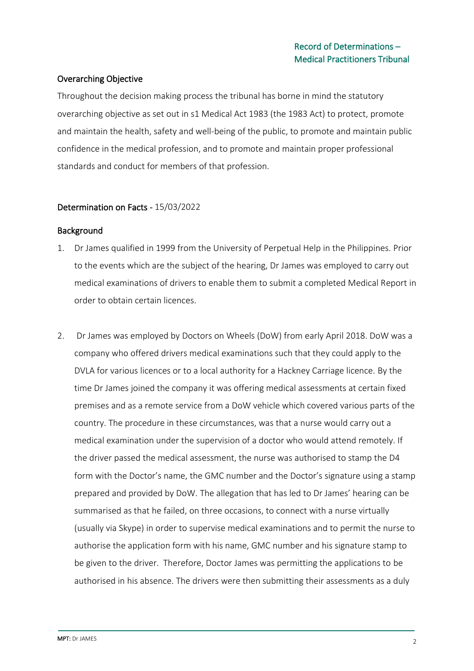## Overarching Objective

Throughout the decision making process the tribunal has borne in mind the statutory overarching objective as set out in s1 Medical Act 1983 (the 1983 Act) to protect, promote and maintain the health, safety and well-being of the public, to promote and maintain public confidence in the medical profession, and to promote and maintain proper professional standards and conduct for members of that profession.

#### Determination on Facts - 15/03/2022

#### Background

- 1. Dr James qualified in 1999 from the University of Perpetual Help in the Philippines. Prior to the events which are the subject of the hearing, Dr James was employed to carry out medical examinations of drivers to enable them to submit a completed Medical Report in order to obtain certain licences.
- 2. Dr James was employed by Doctors on Wheels (DoW) from early April 2018. DoW was a company who offered drivers medical examinations such that they could apply to the DVLA for various licences or to a local authority for a Hackney Carriage licence. By the time Dr James joined the company it was offering medical assessments at certain fixed premises and as a remote service from a DoW vehicle which covered various parts of the country. The procedure in these circumstances, was that a nurse would carry out a medical examination under the supervision of a doctor who would attend remotely. If the driver passed the medical assessment, the nurse was authorised to stamp the D4 form with the Doctor's name, the GMC number and the Doctor's signature using a stamp prepared and provided by DoW. The allegation that has led to Dr James' hearing can be summarised as that he failed, on three occasions, to connect with a nurse virtually (usually via Skype) in order to supervise medical examinations and to permit the nurse to authorise the application form with his name, GMC number and his signature stamp to be given to the driver. Therefore, Doctor James was permitting the applications to be authorised in his absence. The drivers were then submitting their assessments as a duly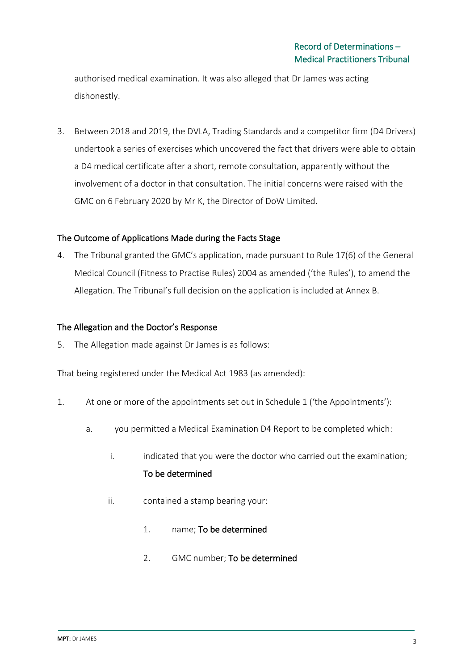authorised medical examination. It was also alleged that Dr James was acting dishonestly.

3. Between 2018 and 2019, the DVLA, Trading Standards and a competitor firm (D4 Drivers) undertook a series of exercises which uncovered the fact that drivers were able to obtain a D4 medical certificate after a short, remote consultation, apparently without the involvement of a doctor in that consultation. The initial concerns were raised with the GMC on 6 February 2020 by Mr K, the Director of DoW Limited.

## The Outcome of Applications Made during the Facts Stage

4. The Tribunal granted the GMC's application, made pursuant to Rule 17(6) of the General Medical Council (Fitness to Practise Rules) 2004 as amended ('the Rules'), to amend the Allegation. The Tribunal's full decision on the application is included at Annex B.

#### The Allegation and the Doctor's Response

5. The Allegation made against Dr James is as follows:

That being registered under the Medical Act 1983 (as amended):

- 1. At one or more of the appointments set out in Schedule 1 ('the Appointments'):
	- a. you permitted a Medical Examination D4 Report to be completed which:
		- i. indicated that you were the doctor who carried out the examination; To be determined
		- ii. contained a stamp bearing your:
			- 1. name; To be determined
			- 2. GMC number; To be determined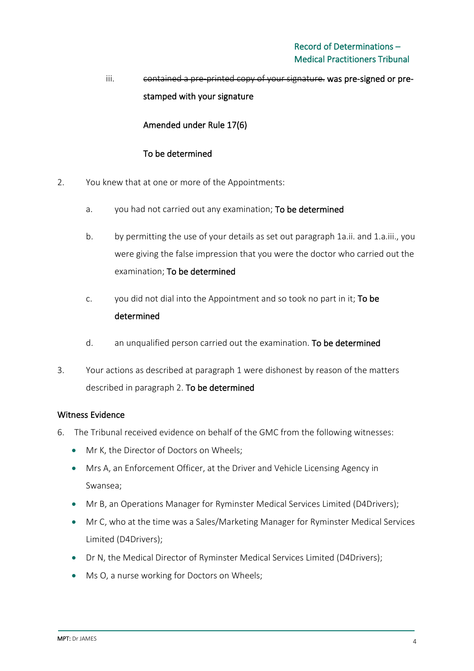# iii. contained a pre-printed copy of your signature. was pre-signed or prestamped with your signature

Amended under Rule 17(6)

## To be determined

- 2. You knew that at one or more of the Appointments:
	- a. you had not carried out any examination; To be determined
	- b. by permitting the use of your details as set out paragraph 1a.ii. and 1.a.iii., you were giving the false impression that you were the doctor who carried out the examination; To be determined
	- c. you did not dial into the Appointment and so took no part in it; To be determined
	- d. an unqualified person carried out the examination. To be determined
- 3. Your actions as described at paragraph 1 were dishonest by reason of the matters described in paragraph 2. To be determined

## Witness Evidence

- 6. The Tribunal received evidence on behalf of the GMC from the following witnesses:
	- Mr K, the Director of Doctors on Wheels;
	- Mrs A, an Enforcement Officer, at the Driver and Vehicle Licensing Agency in Swansea;
	- Mr B, an Operations Manager for Ryminster Medical Services Limited (D4Drivers);
	- Mr C, who at the time was a Sales/Marketing Manager for Ryminster Medical Services Limited (D4Drivers);
	- Dr N, the Medical Director of Ryminster Medical Services Limited (D4Drivers);
	- Ms O, a nurse working for Doctors on Wheels;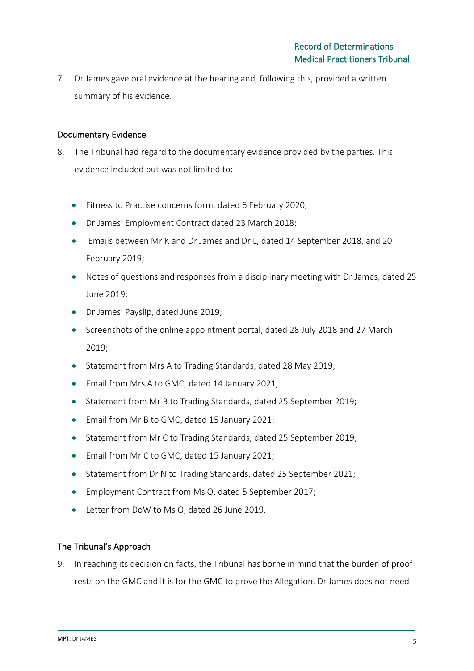7. Dr James gave oral evidence at the hearing and, following this, provided a written summary of his evidence.

## Documentary Evidence

- 8. The Tribunal had regard to the documentary evidence provided by the parties. This evidence included but was not limited to:
	- Fitness to Practise concerns form, dated 6 February 2020;
	- Dr James' Employment Contract dated 23 March 2018;
	- Emails between Mr K and Dr James and Dr L, dated 14 September 2018, and 20 February 2019;
	- Notes of questions and responses from a disciplinary meeting with Dr James, dated 25 June 2019;
	- Dr James' Payslip, dated June 2019;
	- Screenshots of the online appointment portal, dated 28 July 2018 and 27 March 2019;
	- Statement from Mrs A to Trading Standards, dated 28 May 2019;
	- Email from Mrs A to GMC, dated 14 January 2021;
	- Statement from Mr B to Trading Standards, dated 25 September 2019;
	- Email from Mr B to GMC, dated 15 January 2021;
	- Statement from Mr C to Trading Standards, dated 25 September 2019;
	- Email from Mr C to GMC, dated 15 January 2021;
	- Statement from Dr N to Trading Standards, dated 25 September 2021;
	- Employment Contract from Ms O, dated 5 September 2017;
	- Letter from DoW to Ms O, dated 26 June 2019.

## The Tribunal's Approach

9. In reaching its decision on facts, the Tribunal has borne in mind that the burden of proof rests on the GMC and it is for the GMC to prove the Allegation. Dr James does not need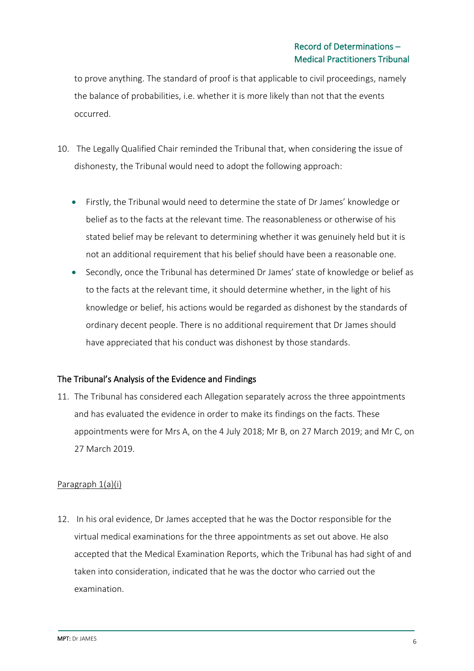to prove anything. The standard of proof is that applicable to civil proceedings, namely the balance of probabilities, i.e. whether it is more likely than not that the events occurred.

- 10. The Legally Qualified Chair reminded the Tribunal that, when considering the issue of dishonesty, the Tribunal would need to adopt the following approach:
	- Firstly, the Tribunal would need to determine the state of Dr James' knowledge or belief as to the facts at the relevant time. The reasonableness or otherwise of his stated belief may be relevant to determining whether it was genuinely held but it is not an additional requirement that his belief should have been a reasonable one.
	- Secondly, once the Tribunal has determined Dr James' state of knowledge or belief as to the facts at the relevant time, it should determine whether, in the light of his knowledge or belief, his actions would be regarded as dishonest by the standards of ordinary decent people. There is no additional requirement that Dr James should have appreciated that his conduct was dishonest by those standards.

## The Tribunal's Analysis of the Evidence and Findings

11. The Tribunal has considered each Allegation separately across the three appointments and has evaluated the evidence in order to make its findings on the facts. These appointments were for Mrs A, on the 4 July 2018; Mr B, on 27 March 2019; and Mr C, on 27 March 2019.

## Paragraph 1(a)(i)

12. In his oral evidence, Dr James accepted that he was the Doctor responsible for the virtual medical examinations for the three appointments as set out above. He also accepted that the Medical Examination Reports, which the Tribunal has had sight of and taken into consideration, indicated that he was the doctor who carried out the examination.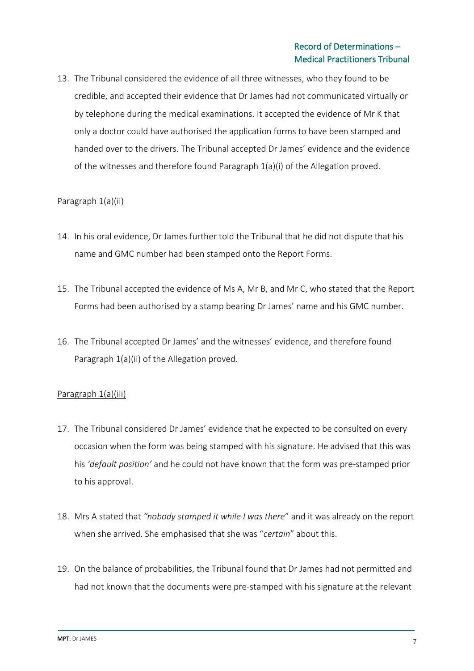13. The Tribunal considered the evidence of all three witnesses, who they found to be credible, and accepted their evidence that Dr James had not communicated virtually or by telephone during the medical examinations. It accepted the evidence of Mr K that only a doctor could have authorised the application forms to have been stamped and handed over to the drivers. The Tribunal accepted Dr James' evidence and the evidence of the witnesses and therefore found Paragraph 1(a)(i) of the Allegation proved.

#### Paragraph 1(a)(ii)

- 14. In his oral evidence, Dr James further told the Tribunal that he did not dispute that his name and GMC number had been stamped onto the Report Forms.
- 15. The Tribunal accepted the evidence of Ms A, Mr B, and Mr C, who stated that the Report Forms had been authorised by a stamp bearing Dr James' name and his GMC number.
- 16. The Tribunal accepted Dr James' and the witnesses' evidence, and therefore found Paragraph 1(a)(ii) of the Allegation proved.

## Paragraph 1(a)(iii)

- 17. The Tribunal considered Dr James' evidence that he expected to be consulted on every occasion when the form was being stamped with his signature. He advised that this was his *'default position'* and he could not have known that the form was pre-stamped prior to his approval.
- 18. Mrs A stated that *"nobody stamped it while I was there*" and it was already on the report when she arrived. She emphasised that she was "*certain*" about this.
- 19. On the balance of probabilities, the Tribunal found that Dr James had not permitted and had not known that the documents were pre-stamped with his signature at the relevant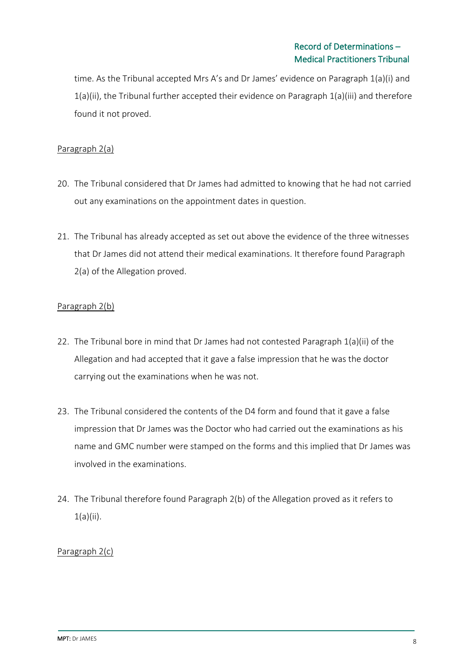time. As the Tribunal accepted Mrs A's and Dr James' evidence on Paragraph 1(a)(i) and 1(a)(ii), the Tribunal further accepted their evidence on Paragraph 1(a)(iii) and therefore found it not proved.

## Paragraph 2(a)

- 20. The Tribunal considered that Dr James had admitted to knowing that he had not carried out any examinations on the appointment dates in question.
- 21. The Tribunal has already accepted as set out above the evidence of the three witnesses that Dr James did not attend their medical examinations. It therefore found Paragraph 2(a) of the Allegation proved.

## Paragraph 2(b)

- 22. The Tribunal bore in mind that Dr James had not contested Paragraph 1(a)(ii) of the Allegation and had accepted that it gave a false impression that he was the doctor carrying out the examinations when he was not.
- 23. The Tribunal considered the contents of the D4 form and found that it gave a false impression that Dr James was the Doctor who had carried out the examinations as his name and GMC number were stamped on the forms and this implied that Dr James was involved in the examinations.
- 24. The Tribunal therefore found Paragraph 2(b) of the Allegation proved as it refers to 1(a)(ii).

## Paragraph 2(c)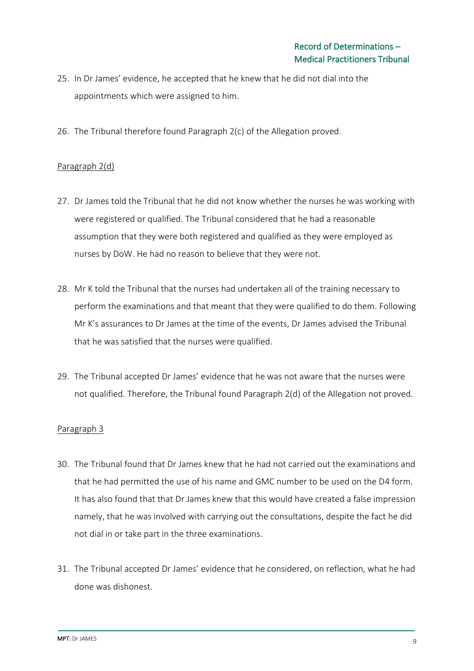- 25. In Dr James' evidence, he accepted that he knew that he did not dial into the appointments which were assigned to him.
- 26. The Tribunal therefore found Paragraph 2(c) of the Allegation proved.

## Paragraph 2(d)

- 27. Dr James told the Tribunal that he did not know whether the nurses he was working with were registered or qualified. The Tribunal considered that he had a reasonable assumption that they were both registered and qualified as they were employed as nurses by DoW. He had no reason to believe that they were not.
- 28. Mr K told the Tribunal that the nurses had undertaken all of the training necessary to perform the examinations and that meant that they were qualified to do them. Following Mr K's assurances to Dr James at the time of the events, Dr James advised the Tribunal that he was satisfied that the nurses were qualified.
- 29. The Tribunal accepted Dr James' evidence that he was not aware that the nurses were not qualified. Therefore, the Tribunal found Paragraph 2(d) of the Allegation not proved.

## Paragraph 3

- 30. The Tribunal found that Dr James knew that he had not carried out the examinations and that he had permitted the use of his name and GMC number to be used on the D4 form. It has also found that that Dr James knew that this would have created a false impression namely, that he was involved with carrying out the consultations, despite the fact he did not dial in or take part in the three examinations.
- 31. The Tribunal accepted Dr James' evidence that he considered, on reflection, what he had done was dishonest.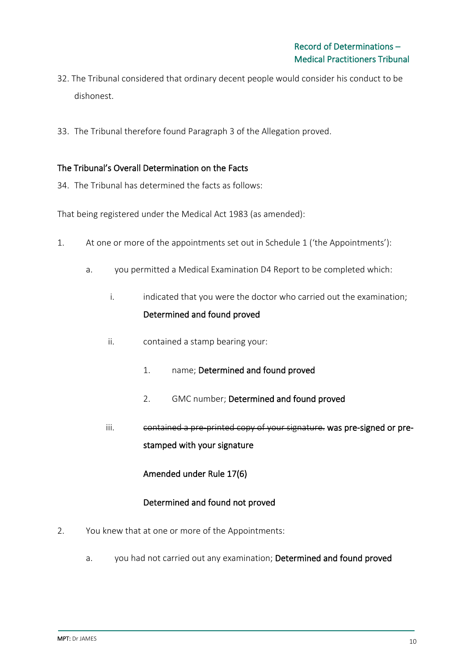- 32. The Tribunal considered that ordinary decent people would consider his conduct to be dishonest.
- 33. The Tribunal therefore found Paragraph 3 of the Allegation proved.

## The Tribunal's Overall Determination on the Facts

34. The Tribunal has determined the facts as follows:

That being registered under the Medical Act 1983 (as amended):

- 1. At one or more of the appointments set out in Schedule 1 ('the Appointments'):
	- a. you permitted a Medical Examination D4 Report to be completed which:
		- i. indicated that you were the doctor who carried out the examination; Determined and found proved
		- ii. contained a stamp bearing your:
			- 1. name; Determined and found proved
			- 2. GMC number; Determined and found proved
		- iii. contained a pre-printed copy of your signature. was pre-signed or prestamped with your signature

Amended under Rule 17(6)

## Determined and found not proved

- 2. You knew that at one or more of the Appointments:
	- a. you had not carried out any examination; Determined and found proved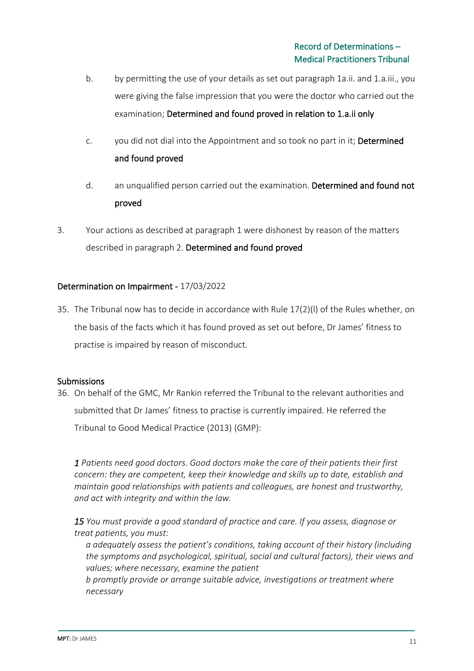- b. by permitting the use of your details as set out paragraph 1a.ii. and 1.a.iii., you were giving the false impression that you were the doctor who carried out the examination; Determined and found proved in relation to 1.a.ii only
- c. you did not dial into the Appointment and so took no part in it; Determined and found proved
- d. an unqualified person carried out the examination. Determined and found not proved
- 3. Your actions as described at paragraph 1 were dishonest by reason of the matters described in paragraph 2. Determined and found proved

## Determination on Impairment - 17/03/2022

35. The Tribunal now has to decide in accordance with Rule 17(2)(l) of the Rules whether, on the basis of the facts which it has found proved as set out before, Dr James' fitness to practise is impaired by reason of misconduct.

#### Submissions

36. On behalf of the GMC, Mr Rankin referred the Tribunal to the relevant authorities and submitted that Dr James' fitness to practise is currently impaired. He referred the Tribunal to Good Medical Practice (2013) (GMP):

*1 Patients need good doctors. Good doctors make the care of their patients their first concern: they are competent, keep their knowledge and skills up to date, establish and maintain good relationships with patients and colleagues, are honest and trustworthy, and act with integrity and within the law.*

*15 You must provide a good standard of practice and care. If you assess, diagnose or treat patients, you must:*

*a adequately assess the patient's conditions, taking account of their history (including the symptoms and psychological, spiritual, social and cultural factors), their views and values; where necessary, examine the patient*

*b promptly provide or arrange suitable advice, investigations or treatment where necessary*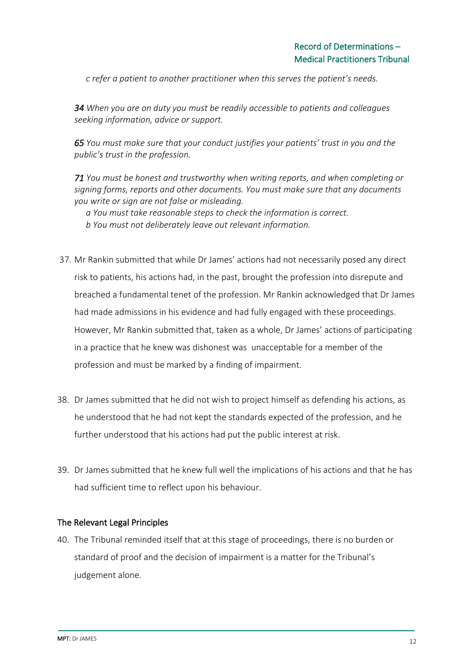*c refer a patient to another practitioner when this serves the patient's needs.*

*34 When you are on duty you must be readily accessible to patients and colleagues seeking information, advice or support.*

*65 You must make sure that your conduct justifies your patients' trust in you and the public's trust in the profession.*

*71 You must be honest and trustworthy when writing reports, and when completing or signing forms, reports and other documents. You must make sure that any documents you write or sign are not false or misleading.*

*a You must take reasonable steps to check the information is correct. b You must not deliberately leave out relevant information.*

- 37. Mr Rankin submitted that while Dr James' actions had not necessarily posed any direct risk to patients, his actions had, in the past, brought the profession into disrepute and breached a fundamental tenet of the profession. Mr Rankin acknowledged that Dr James had made admissions in his evidence and had fully engaged with these proceedings. However, Mr Rankin submitted that, taken as a whole, Dr James' actions of participating in a practice that he knew was dishonest was unacceptable for a member of the profession and must be marked by a finding of impairment.
- 38. Dr James submitted that he did not wish to project himself as defending his actions, as he understood that he had not kept the standards expected of the profession, and he further understood that his actions had put the public interest at risk.
- 39. Dr James submitted that he knew full well the implications of his actions and that he has had sufficient time to reflect upon his behaviour.

#### The Relevant Legal Principles

40. The Tribunal reminded itself that at this stage of proceedings, there is no burden or standard of proof and the decision of impairment is a matter for the Tribunal's judgement alone.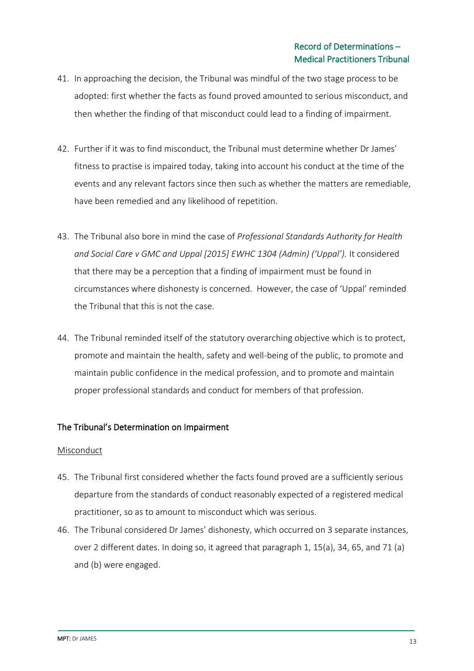- 41. In approaching the decision, the Tribunal was mindful of the two stage process to be adopted: first whether the facts as found proved amounted to serious misconduct, and then whether the finding of that misconduct could lead to a finding of impairment.
- 42. Further if it was to find misconduct, the Tribunal must determine whether Dr James' fitness to practise is impaired today, taking into account his conduct at the time of the events and any relevant factors since then such as whether the matters are remediable, have been remedied and any likelihood of repetition.
- 43. The Tribunal also bore in mind the case of *Professional Standards Authority for Health*  and Social Care v GMC and Uppal [2015] EWHC 1304 (Admin) ('Uppal'). It considered that there may be a perception that a finding of impairment must be found in circumstances where dishonesty is concerned. However, the case of 'Uppal' reminded the Tribunal that this is not the case.
- 44. The Tribunal reminded itself of the statutory overarching objective which is to protect, promote and maintain the health, safety and well-being of the public, to promote and maintain public confidence in the medical profession, and to promote and maintain proper professional standards and conduct for members of that profession.

## The Tribunal's Determination on Impairment

#### Misconduct

- 45. The Tribunal first considered whether the facts found proved are a sufficiently serious departure from the standards of conduct reasonably expected of a registered medical practitioner, so as to amount to misconduct which was serious.
- 46. The Tribunal considered Dr James' dishonesty, which occurred on 3 separate instances, over 2 different dates. In doing so, it agreed that paragraph 1, 15(a), 34, 65, and 71 (a) and (b) were engaged.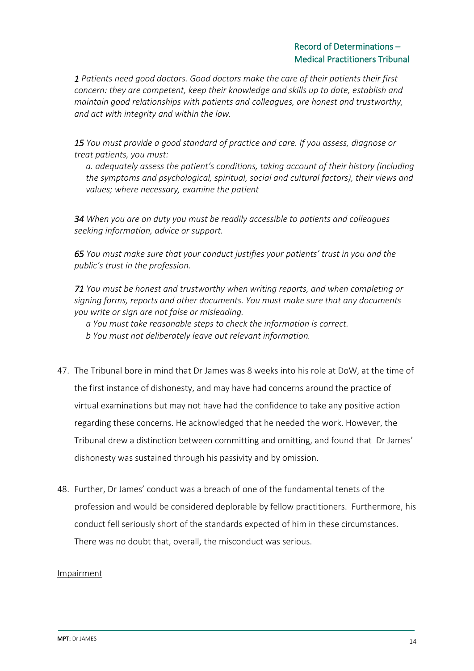## Record of Determinations – Medical Practitioners Tribunal

*1 Patients need good doctors. Good doctors make the care of their patients their first concern: they are competent, keep their knowledge and skills up to date, establish and maintain good relationships with patients and colleagues, are honest and trustworthy, and act with integrity and within the law.*

*15 You must provide a good standard of practice and care. If you assess, diagnose or treat patients, you must:*

*a. adequately assess the patient's conditions, taking account of their history (including the symptoms and psychological, spiritual, social and cultural factors), their views and values; where necessary, examine the patient*

*34 When you are on duty you must be readily accessible to patients and colleagues seeking information, advice or support.*

*65 You must make sure that your conduct justifies your patients' trust in you and the public's trust in the profession.*

*71 You must be honest and trustworthy when writing reports, and when completing or signing forms, reports and other documents. You must make sure that any documents you write or sign are not false or misleading.*

*a You must take reasonable steps to check the information is correct.*

*b You must not deliberately leave out relevant information.*

- 47. The Tribunal bore in mind that Dr James was 8 weeks into his role at DoW, at the time of the first instance of dishonesty, and may have had concerns around the practice of virtual examinations but may not have had the confidence to take any positive action regarding these concerns. He acknowledged that he needed the work. However, the Tribunal drew a distinction between committing and omitting, and found that Dr James' dishonesty was sustained through his passivity and by omission.
- 48. Further, Dr James' conduct was a breach of one of the fundamental tenets of the profession and would be considered deplorable by fellow practitioners. Furthermore, his conduct fell seriously short of the standards expected of him in these circumstances. There was no doubt that, overall, the misconduct was serious.

#### Impairment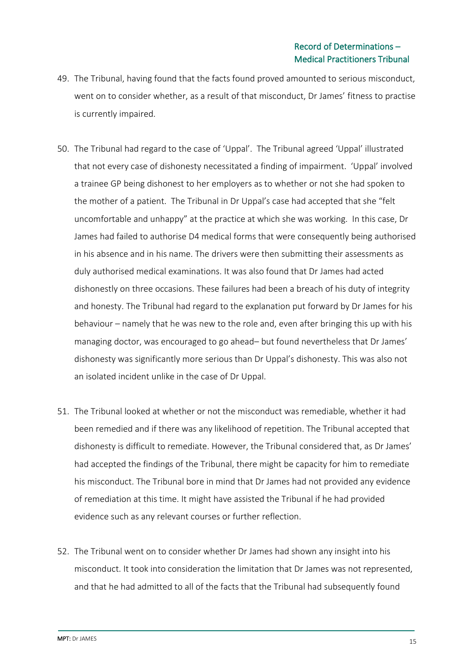- 49. The Tribunal, having found that the facts found proved amounted to serious misconduct, went on to consider whether, as a result of that misconduct, Dr James' fitness to practise is currently impaired.
- 50. The Tribunal had regard to the case of 'Uppal'. The Tribunal agreed 'Uppal' illustrated that not every case of dishonesty necessitated a finding of impairment. 'Uppal' involved a trainee GP being dishonest to her employers as to whether or not she had spoken to the mother of a patient. The Tribunal in Dr Uppal's case had accepted that she "felt uncomfortable and unhappy" at the practice at which she was working. In this case, Dr James had failed to authorise D4 medical forms that were consequently being authorised in his absence and in his name. The drivers were then submitting their assessments as duly authorised medical examinations. It was also found that Dr James had acted dishonestly on three occasions. These failures had been a breach of his duty of integrity and honesty. The Tribunal had regard to the explanation put forward by Dr James for his behaviour – namely that he was new to the role and, even after bringing this up with his managing doctor, was encouraged to go ahead– but found nevertheless that Dr James' dishonesty was significantly more serious than Dr Uppal's dishonesty. This was also not an isolated incident unlike in the case of Dr Uppal.
- 51. The Tribunal looked at whether or not the misconduct was remediable, whether it had been remedied and if there was any likelihood of repetition. The Tribunal accepted that dishonesty is difficult to remediate. However, the Tribunal considered that, as Dr James' had accepted the findings of the Tribunal, there might be capacity for him to remediate his misconduct. The Tribunal bore in mind that Dr James had not provided any evidence of remediation at this time. It might have assisted the Tribunal if he had provided evidence such as any relevant courses or further reflection.
- 52. The Tribunal went on to consider whether Dr James had shown any insight into his misconduct. It took into consideration the limitation that Dr James was not represented, and that he had admitted to all of the facts that the Tribunal had subsequently found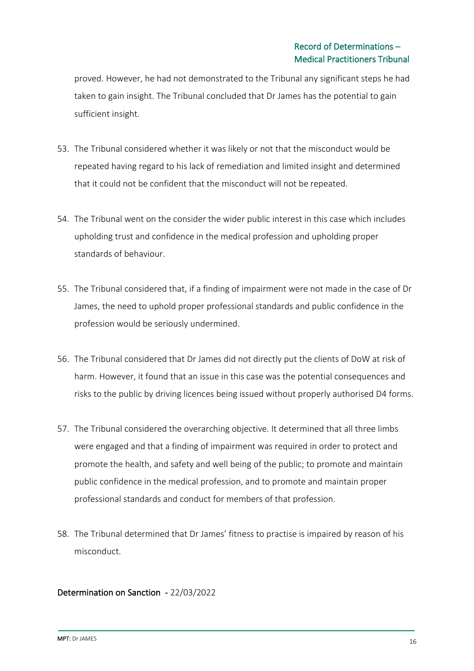proved. However, he had not demonstrated to the Tribunal any significant steps he had taken to gain insight. The Tribunal concluded that Dr James has the potential to gain sufficient insight.

- 53. The Tribunal considered whether it was likely or not that the misconduct would be repeated having regard to his lack of remediation and limited insight and determined that it could not be confident that the misconduct will not be repeated.
- 54. The Tribunal went on the consider the wider public interest in this case which includes upholding trust and confidence in the medical profession and upholding proper standards of behaviour.
- 55. The Tribunal considered that, if a finding of impairment were not made in the case of Dr James, the need to uphold proper professional standards and public confidence in the profession would be seriously undermined.
- 56. The Tribunal considered that Dr James did not directly put the clients of DoW at risk of harm. However, it found that an issue in this case was the potential consequences and risks to the public by driving licences being issued without properly authorised D4 forms.
- 57. The Tribunal considered the overarching objective. It determined that all three limbs were engaged and that a finding of impairment was required in order to protect and promote the health, and safety and well being of the public; to promote and maintain public confidence in the medical profession, and to promote and maintain proper professional standards and conduct for members of that profession.
- 58. The Tribunal determined that Dr James' fitness to practise is impaired by reason of his misconduct.

## Determination on Sanction - 22/03/2022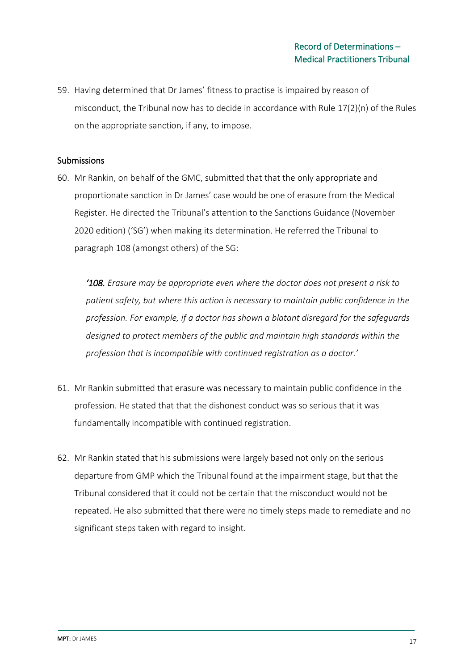59. Having determined that Dr James' fitness to practise is impaired by reason of misconduct, the Tribunal now has to decide in accordance with Rule 17(2)(n) of the Rules on the appropriate sanction, if any, to impose.

#### Submissions

60. Mr Rankin, on behalf of the GMC, submitted that that the only appropriate and proportionate sanction in Dr James' case would be one of erasure from the Medical Register. He directed the Tribunal's attention to the Sanctions Guidance (November 2020 edition) ('SG') when making its determination. He referred the Tribunal to paragraph 108 (amongst others) of the SG:

*'108. Erasure may be appropriate even where the doctor does not present a risk to patient safety, but where this action is necessary to maintain public confidence in the profession. For example, if a doctor has shown a blatant disregard for the safeguards designed to protect members of the public and maintain high standards within the profession that is incompatible with continued registration as a doctor.'*

- 61. Mr Rankin submitted that erasure was necessary to maintain public confidence in the profession. He stated that that the dishonest conduct was so serious that it was fundamentally incompatible with continued registration.
- 62. Mr Rankin stated that his submissions were largely based not only on the serious departure from GMP which the Tribunal found at the impairment stage, but that the Tribunal considered that it could not be certain that the misconduct would not be repeated. He also submitted that there were no timely steps made to remediate and no significant steps taken with regard to insight.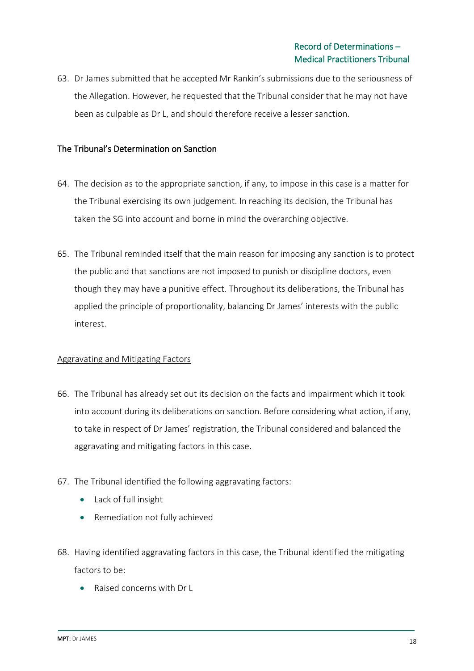63. Dr James submitted that he accepted Mr Rankin's submissions due to the seriousness of the Allegation. However, he requested that the Tribunal consider that he may not have been as culpable as Dr L, and should therefore receive a lesser sanction.

## The Tribunal's Determination on Sanction

- 64. The decision as to the appropriate sanction, if any, to impose in this case is a matter for the Tribunal exercising its own judgement. In reaching its decision, the Tribunal has taken the SG into account and borne in mind the overarching objective.
- 65. The Tribunal reminded itself that the main reason for imposing any sanction is to protect the public and that sanctions are not imposed to punish or discipline doctors, even though they may have a punitive effect. Throughout its deliberations, the Tribunal has applied the principle of proportionality, balancing Dr James' interests with the public interest.

#### Aggravating and Mitigating Factors

- 66. The Tribunal has already set out its decision on the facts and impairment which it took into account during its deliberations on sanction. Before considering what action, if any, to take in respect of Dr James' registration, the Tribunal considered and balanced the aggravating and mitigating factors in this case.
- 67. The Tribunal identified the following aggravating factors:
	- Lack of full insight
	- Remediation not fully achieved
- 68. Having identified aggravating factors in this case, the Tribunal identified the mitigating factors to be:
	- Raised concerns with Dr L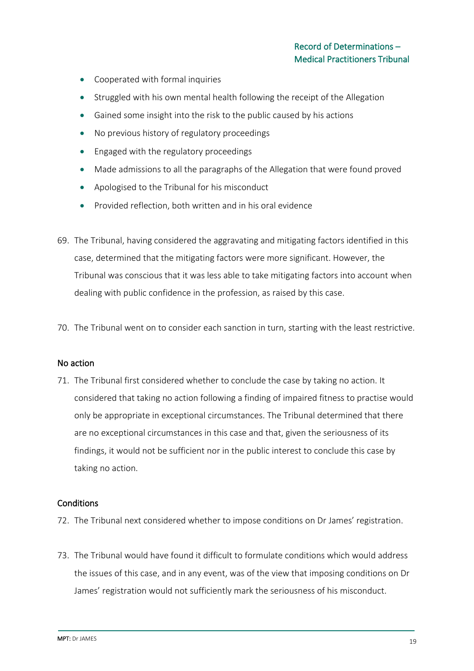- Cooperated with formal inquiries
- Struggled with his own mental health following the receipt of the Allegation
- Gained some insight into the risk to the public caused by his actions
- No previous history of regulatory proceedings
- Engaged with the regulatory proceedings
- Made admissions to all the paragraphs of the Allegation that were found proved
- Apologised to the Tribunal for his misconduct
- Provided reflection, both written and in his oral evidence
- 69. The Tribunal, having considered the aggravating and mitigating factors identified in this case, determined that the mitigating factors were more significant. However, the Tribunal was conscious that it was less able to take mitigating factors into account when dealing with public confidence in the profession, as raised by this case.
- 70. The Tribunal went on to consider each sanction in turn, starting with the least restrictive.

#### No action

71. The Tribunal first considered whether to conclude the case by taking no action. It considered that taking no action following a finding of impaired fitness to practise would only be appropriate in exceptional circumstances. The Tribunal determined that there are no exceptional circumstances in this case and that, given the seriousness of its findings, it would not be sufficient nor in the public interest to conclude this case by taking no action.

#### **Conditions**

- 72. The Tribunal next considered whether to impose conditions on Dr James' registration.
- 73. The Tribunal would have found it difficult to formulate conditions which would address the issues of this case, and in any event, was of the view that imposing conditions on Dr James' registration would not sufficiently mark the seriousness of his misconduct.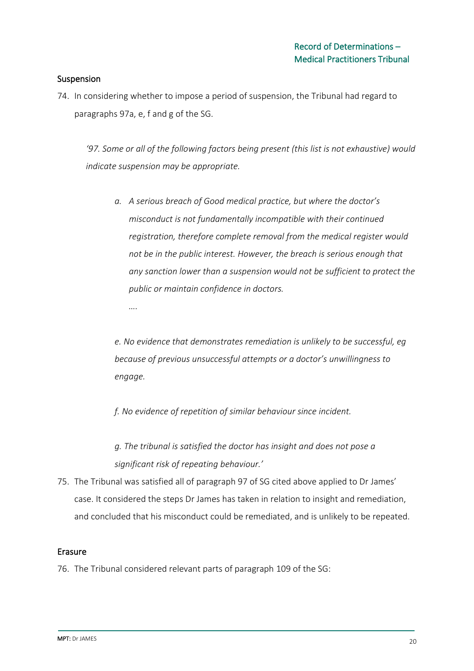## Suspension

74. In considering whether to impose a period of suspension, the Tribunal had regard to paragraphs 97a, e, f and g of the SG.

*'97. Some or all of the following factors being present (this list is not exhaustive) would indicate suspension may be appropriate.*

*a. A serious breach of Good medical practice, but where the doctor's misconduct is not fundamentally incompatible with their continued registration, therefore complete removal from the medical register would not be in the public interest. However, the breach is serious enough that any sanction lower than a suspension would not be sufficient to protect the public or maintain confidence in doctors. ….*

*e. No evidence that demonstrates remediation is unlikely to be successful, eg because of previous unsuccessful attempts or a doctor's unwillingness to engage.*

*f. No evidence of repetition of similar behaviour since incident.*

*g. The tribunal is satisfied the doctor has insight and does not pose a significant risk of repeating behaviour.'*

75. The Tribunal was satisfied all of paragraph 97 of SG cited above applied to Dr James' case. It considered the steps Dr James has taken in relation to insight and remediation, and concluded that his misconduct could be remediated, and is unlikely to be repeated.

#### Erasure

76. The Tribunal considered relevant parts of paragraph 109 of the SG: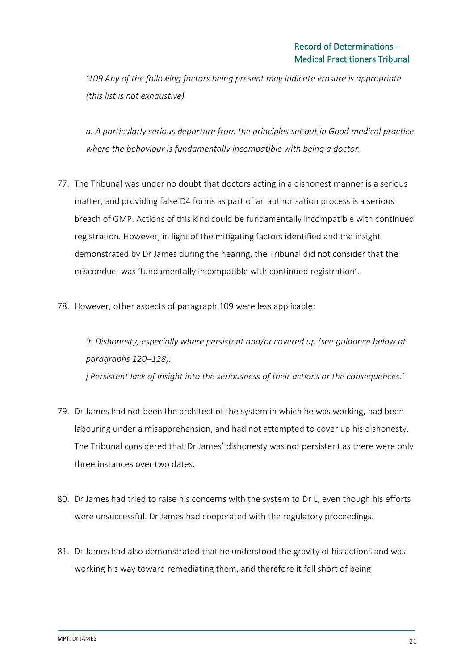*'109 Any of the following factors being present may indicate erasure is appropriate (this list is not exhaustive).* 

*a. A particularly serious departure from the principles set out in Good medical practice where the behaviour is fundamentally incompatible with being a doctor.*

- 77. The Tribunal was under no doubt that doctors acting in a dishonest manner is a serious matter, and providing false D4 forms as part of an authorisation process is a serious breach of GMP. Actions of this kind could be fundamentally incompatible with continued registration. However, in light of the mitigating factors identified and the insight demonstrated by Dr James during the hearing, the Tribunal did not consider that the misconduct was 'fundamentally incompatible with continued registration'.
- 78. However, other aspects of paragraph 109 were less applicable:

*'h Dishonesty, especially where persistent and/or covered up (see guidance below at paragraphs 120–128). j Persistent lack of insight into the seriousness of their actions or the consequences.'*

- 79. Dr James had not been the architect of the system in which he was working, had been labouring under a misapprehension, and had not attempted to cover up his dishonesty. The Tribunal considered that Dr James' dishonesty was not persistent as there were only three instances over two dates.
- 80. Dr James had tried to raise his concerns with the system to Dr L, even though his efforts were unsuccessful. Dr James had cooperated with the regulatory proceedings.
- 81. Dr James had also demonstrated that he understood the gravity of his actions and was working his way toward remediating them, and therefore it fell short of being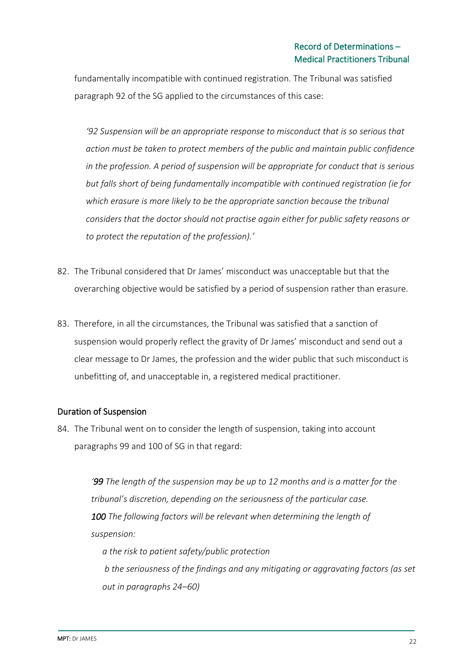fundamentally incompatible with continued registration. The Tribunal was satisfied paragraph 92 of the SG applied to the circumstances of this case:

*'92 Suspension will be an appropriate response to misconduct that is so serious that action must be taken to protect members of the public and maintain public confidence in the profession. A period of suspension will be appropriate for conduct that is serious but falls short of being fundamentally incompatible with continued registration (ie for which erasure is more likely to be the appropriate sanction because the tribunal considers that the doctor should not practise again either for public safety reasons or to protect the reputation of the profession).'* 

- 82. The Tribunal considered that Dr James' misconduct was unacceptable but that the overarching objective would be satisfied by a period of suspension rather than erasure.
- 83. Therefore, in all the circumstances, the Tribunal was satisfied that a sanction of suspension would properly reflect the gravity of Dr James' misconduct and send out a clear message to Dr James, the profession and the wider public that such misconduct is unbefitting of, and unacceptable in, a registered medical practitioner.

## Duration of Suspension

84. The Tribunal went on to consider the length of suspension, taking into account paragraphs 99 and 100 of SG in that regard:

> *'99 The length of the suspension may be up to 12 months and is a matter for the tribunal's discretion, depending on the seriousness of the particular case. 100 The following factors will be relevant when determining the length of suspension: a the risk to patient safety/public protection*

*b the seriousness of the findings and any mitigating or aggravating factors (as set out in paragraphs 24–60)*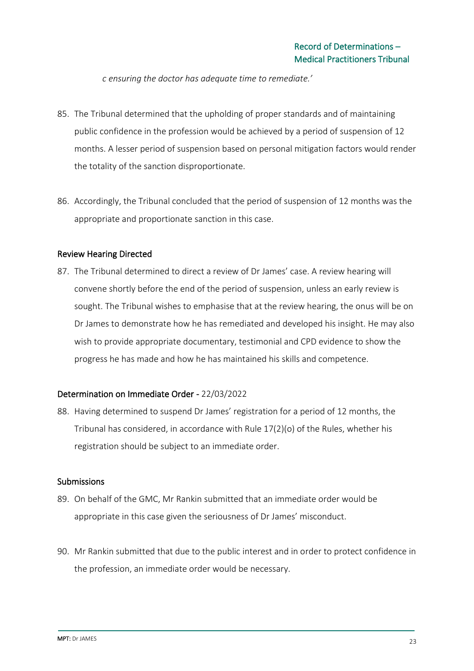*c ensuring the doctor has adequate time to remediate.'*

- 85. The Tribunal determined that the upholding of proper standards and of maintaining public confidence in the profession would be achieved by a period of suspension of 12 months. A lesser period of suspension based on personal mitigation factors would render the totality of the sanction disproportionate.
- 86. Accordingly, the Tribunal concluded that the period of suspension of 12 months was the appropriate and proportionate sanction in this case.

#### Review Hearing Directed

87. The Tribunal determined to direct a review of Dr James' case. A review hearing will convene shortly before the end of the period of suspension, unless an early review is sought. The Tribunal wishes to emphasise that at the review hearing, the onus will be on Dr James to demonstrate how he has remediated and developed his insight. He may also wish to provide appropriate documentary, testimonial and CPD evidence to show the progress he has made and how he has maintained his skills and competence.

## Determination on Immediate Order - 22/03/2022

88. Having determined to suspend Dr James' registration for a period of 12 months, the Tribunal has considered, in accordance with Rule 17(2)(o) of the Rules, whether his registration should be subject to an immediate order.

#### Submissions

- 89. On behalf of the GMC, Mr Rankin submitted that an immediate order would be appropriate in this case given the seriousness of Dr James' misconduct.
- 90. Mr Rankin submitted that due to the public interest and in order to protect confidence in the profession, an immediate order would be necessary.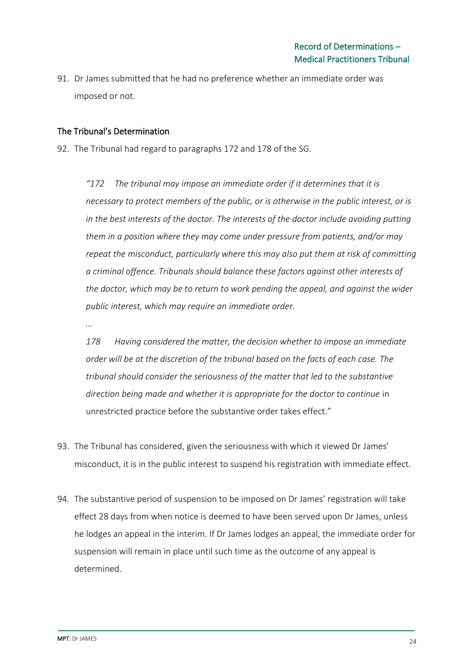91. Dr James submitted that he had no preference whether an immediate order was imposed or not.

## The Tribunal's Determination

92. The Tribunal had regard to paragraphs 172 and 178 of the SG.

*"172 The tribunal may impose an immediate order if it determines that it is necessary to protect members of the public, or is otherwise in the public interest, or is in the best interests of the doctor. The interests of the doctor include avoiding putting them in a position where they may come under pressure from patients, and/or may repeat the misconduct, particularly where this may also put them at risk of committing a criminal offence. Tribunals should balance these factors against other interests of the doctor, which may be to return to work pending the appeal, and against the wider public interest, which may require an immediate order.*

*…*

*178 Having considered the matter, the decision whether to impose an immediate order will be at the discretion of the tribunal based on the facts of each case. The tribunal should consider the seriousness of the matter that led to the substantive direction being made and whether it is appropriate for the doctor to continue* in unrestricted practice before the substantive order takes effect."

- 93. The Tribunal has considered, given the seriousness with which it viewed Dr James' misconduct, it is in the public interest to suspend his registration with immediate effect.
- 94. The substantive period of suspension to be imposed on Dr James' registration will take effect 28 days from when notice is deemed to have been served upon Dr James, unless he lodges an appeal in the interim. If Dr James lodges an appeal, the immediate order for suspension will remain in place until such time as the outcome of any appeal is determined.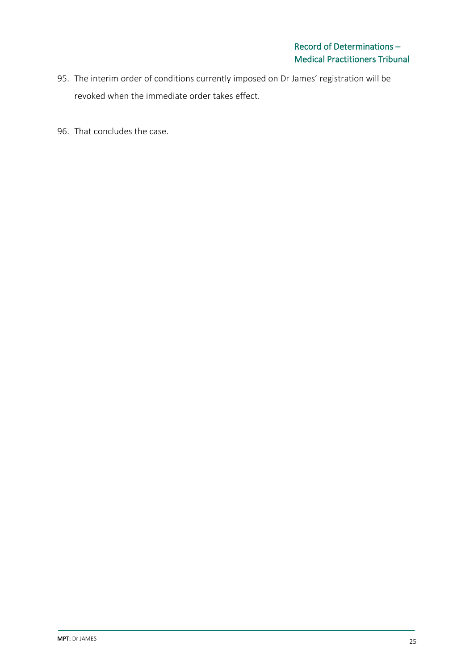- 95. The interim order of conditions currently imposed on Dr James' registration will be revoked when the immediate order takes effect.
- 96. That concludes the case.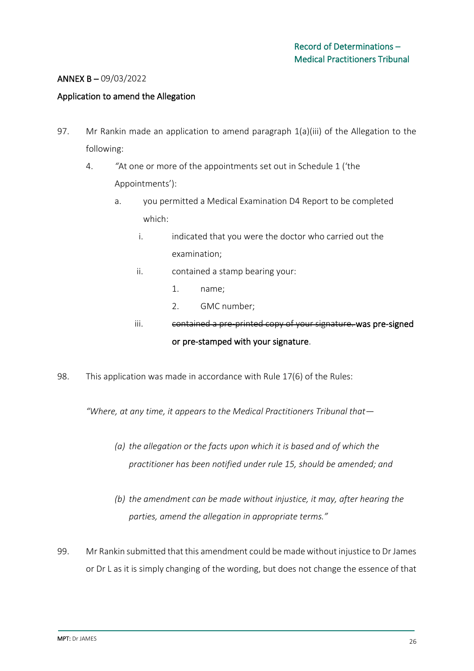## ANNEX B – 09/03/2022

#### Application to amend the Allegation

- 97. Mr Rankin made an application to amend paragraph 1(a)(iii) of the Allegation to the following:
	- 4. *"*At one or more of the appointments set out in Schedule 1 ('the Appointments'):
		- a. you permitted a Medical Examination D4 Report to be completed which:
			- i. indicated that you were the doctor who carried out the examination;
			- ii. contained a stamp bearing your:
				- 1. name;
				- 2. GMC number;

# iii. contained a pre-printed copy of your signature. was pre-signed or pre-stamped with your signature.

98. This application was made in accordance with Rule 17(6) of the Rules:

*"Where, at any time, it appears to the Medical Practitioners Tribunal that—*

- *(a) the allegation or the facts upon which it is based and of which the practitioner has been notified under rule 15, should be amended; and*
- *(b) the amendment can be made without injustice, it may, after hearing the parties, amend the allegation in appropriate terms."*
- 99. Mr Rankin submitted that this amendment could be made without injustice to Dr James or Dr L as it is simply changing of the wording, but does not change the essence of that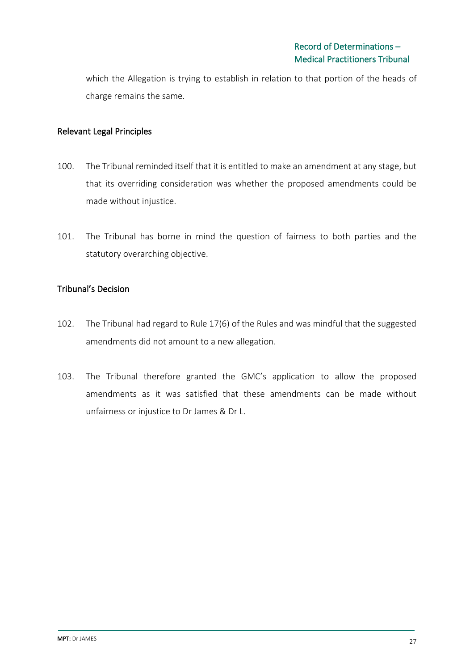which the Allegation is trying to establish in relation to that portion of the heads of charge remains the same.

#### Relevant Legal Principles

- 100. The Tribunal reminded itself that it is entitled to make an amendment at any stage, but that its overriding consideration was whether the proposed amendments could be made without injustice.
- 101. The Tribunal has borne in mind the question of fairness to both parties and the statutory overarching objective.

#### Tribunal's Decision

- 102. The Tribunal had regard to Rule 17(6) of the Rules and was mindful that the suggested amendments did not amount to a new allegation.
- 103. The Tribunal therefore granted the GMC's application to allow the proposed amendments as it was satisfied that these amendments can be made without unfairness or injustice to Dr James & Dr L.